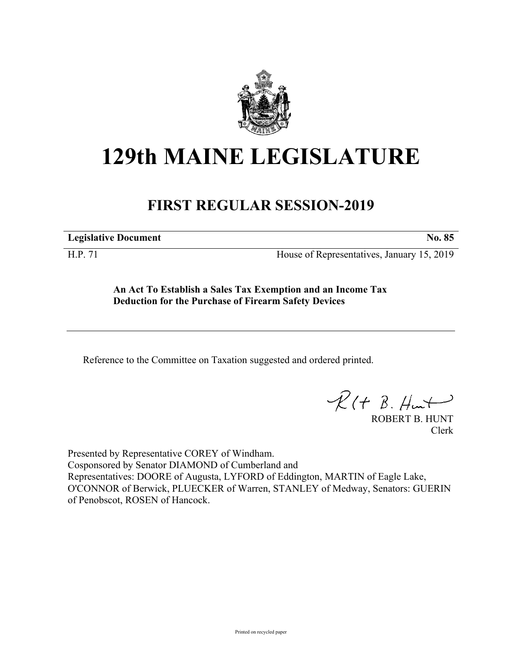

## **129th MAINE LEGISLATURE**

## **FIRST REGULAR SESSION-2019**

**Legislative Document No. 85**

H.P. 71 House of Representatives, January 15, 2019

**An Act To Establish a Sales Tax Exemption and an Income Tax Deduction for the Purchase of Firearm Safety Devices**

Reference to the Committee on Taxation suggested and ordered printed.

 $R(H B. H<sup>u</sup>)$ 

ROBERT B. HUNT Clerk

Presented by Representative COREY of Windham. Cosponsored by Senator DIAMOND of Cumberland and Representatives: DOORE of Augusta, LYFORD of Eddington, MARTIN of Eagle Lake, O'CONNOR of Berwick, PLUECKER of Warren, STANLEY of Medway, Senators: GUERIN of Penobscot, ROSEN of Hancock.